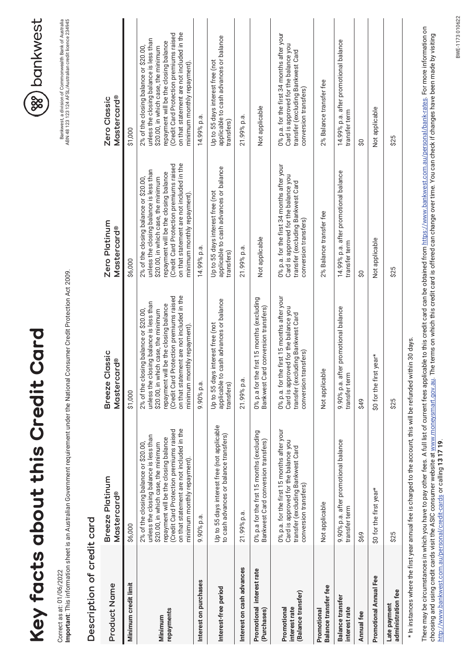| $\overline{\phantom{a}}$ |
|--------------------------|
| ココリ<br>こう トラクト<br>ノコ)    |
| $\frac{c}{1}$<br>J       |
| JNOOD                    |
| <b>COCTS</b>             |
|                          |



Correct as at: 01/06/2022<br>**Important**: This information sheet is an Australian Government requirement under the National Consumer Credit Protection Act 2009. **Important**: This information sheet is an Australian Government requirement under the National Consumer Credit Protection Act 2009.

## $\frac{1}{2}$  $\ddot{\phantom{0}}$  $\frac{1}{4}$  $\ddot{\cdot}$  $\epsilon$

l,

| Description of credit card                         |                                                                                                                                                                                                                                                                                        |                                                                                                                                                                                                                                                                                         |                                                                                                                                                                                                                                                                                         |                                                                                                                                                                                                                                                                                         |
|----------------------------------------------------|----------------------------------------------------------------------------------------------------------------------------------------------------------------------------------------------------------------------------------------------------------------------------------------|-----------------------------------------------------------------------------------------------------------------------------------------------------------------------------------------------------------------------------------------------------------------------------------------|-----------------------------------------------------------------------------------------------------------------------------------------------------------------------------------------------------------------------------------------------------------------------------------------|-----------------------------------------------------------------------------------------------------------------------------------------------------------------------------------------------------------------------------------------------------------------------------------------|
| Product Name                                       | Breeze Platinum<br><b>Mastercard®</b>                                                                                                                                                                                                                                                  | Breeze Classic<br>PO <sub>®</sub><br>Masterca                                                                                                                                                                                                                                           | Zero Platinum<br><b>Mastercard®</b>                                                                                                                                                                                                                                                     | <b>Mastercard®</b><br>Zero Classic                                                                                                                                                                                                                                                      |
| Minimum credit limit                               | \$6,000                                                                                                                                                                                                                                                                                | \$1,000                                                                                                                                                                                                                                                                                 | \$6,000                                                                                                                                                                                                                                                                                 | \$1,000                                                                                                                                                                                                                                                                                 |
| repayments<br>Minimum                              | on that statement are not included in the<br>Credit Card Protection premiums raised<br>unless the closing balance is less than<br>repayment will be the closing balance<br>2% of the closing balance or \$20.00,<br>\$20.00, in which case, the minimum<br>minimum monthly repayment). | on that statement are not included in the<br>(Credit Card Protection premiums raised<br>unless the closing balance is less than<br>repayment will be the closing balance<br>\$20.00, in which case, the minimum<br>2% of the closing balance or \$20.00,<br>minimum monthly repayment). | on that statement are not included in the<br>(Credit Card Protection premiums raised<br>unless the closing balance is less than<br>repayment will be the closing balance<br>\$20.00, in which case, the minimum<br>2% of the closing balance or \$20.00,<br>minimum monthly repayment). | on that statement are not included in the<br>(Credit Card Protection premiums raised<br>unless the closing balance is less than<br>repayment will be the closing balance<br>2% of the closing balance or \$20.00,<br>\$20.00, in which case, the minimum<br>minimum monthly repayment). |
| Interest on purchases                              | 9.90% p.a.                                                                                                                                                                                                                                                                             | 9.90% p.a.                                                                                                                                                                                                                                                                              | 14.99% p.a.                                                                                                                                                                                                                                                                             | 14.99% p.a.                                                                                                                                                                                                                                                                             |
| Interest-free period                               | Up to 55 days interest free (not applicable<br>to cash advances or balance transfers)                                                                                                                                                                                                  | applicable to cash advances or balance<br>interest free (not<br>Up to 55 days<br>transfers)                                                                                                                                                                                             | applicable to cash advances or balance<br>Up to 55 days interest free (not<br>transfers)                                                                                                                                                                                                | applicable to cash advances or balance<br>Up to 55 days interest free (not<br>transfers)                                                                                                                                                                                                |
| Interest on cash advances                          | 21.99% p.a.                                                                                                                                                                                                                                                                            | 21.99% p.a.                                                                                                                                                                                                                                                                             | 21.99% p.a.                                                                                                                                                                                                                                                                             | 21.99% p.a.                                                                                                                                                                                                                                                                             |
| Promotional interest rate<br>(Purchases)           | 0% p.a for the frst 15 months (excluding<br>Bankwest Card conversion transfers)                                                                                                                                                                                                        | 0% p.a for the frst 15 months (excluding<br>d conversion transfers)<br>Bankwest Car                                                                                                                                                                                                     | Not applicable                                                                                                                                                                                                                                                                          | Not applicable                                                                                                                                                                                                                                                                          |
| (Balance transfer)<br>Promotional<br>interest rate | 0% p.a. for the first 15 months after your<br>Card is approved for the balance you<br>transfer (excluding Bankwest Card<br>conversion transfers)                                                                                                                                       | 0% p.a. for the first 15 months after your<br>ed for the balance you<br>transfer (excluding Bankwest Card<br>conversion transfers)<br>Card is approv                                                                                                                                    | 0% p.a. for the first 34 months after your<br>Card is approved for the balance you<br>transfer (excluding Bankwest Card<br>conversion transfers)                                                                                                                                        | 0% p.a. for the first 34 months after your<br>Card is approved for the balance you<br>transfer (excluding Bankwest Card<br>conversion transfers)                                                                                                                                        |
| <b>Balance transfer fee</b><br>Promotional         | Not applicable                                                                                                                                                                                                                                                                         | Not applicable                                                                                                                                                                                                                                                                          | 2% Balance transfer fee                                                                                                                                                                                                                                                                 | 2% Balance transfer fee                                                                                                                                                                                                                                                                 |
| <b>Balance transfer</b><br>interest rate           | 9.90% p.a. after promotional balance<br>transfer term                                                                                                                                                                                                                                  | 9.90% p.a. after promotional balance<br>transfer term                                                                                                                                                                                                                                   | 14.99% p.a. after promotional balance<br>transfer term                                                                                                                                                                                                                                  | 14.99% p.a. after promotional balance<br>transfer term                                                                                                                                                                                                                                  |
| Annual fee                                         | \$69                                                                                                                                                                                                                                                                                   | \$49                                                                                                                                                                                                                                                                                    | SO,                                                                                                                                                                                                                                                                                     | SO,                                                                                                                                                                                                                                                                                     |
| Promotional Annual Fee                             | \$0 for the first year*                                                                                                                                                                                                                                                                | : year*<br>\$0 for the first                                                                                                                                                                                                                                                            | Not applicable                                                                                                                                                                                                                                                                          | Not applicable                                                                                                                                                                                                                                                                          |
| administration fee<br>Late payment                 | \$25                                                                                                                                                                                                                                                                                   | \$25                                                                                                                                                                                                                                                                                    | \$25                                                                                                                                                                                                                                                                                    | \$25                                                                                                                                                                                                                                                                                    |
|                                                    | * In instances where the first year annual fee is charged to the account this will be refunded within 30 days                                                                                                                                                                          |                                                                                                                                                                                                                                                                                         |                                                                                                                                                                                                                                                                                         |                                                                                                                                                                                                                                                                                         |

\* In instances where the first year annual fee is charged to the account, this will be refunded within 30 days. uays. ll III stal

There may be circumstances in which you have to pay other fees. A full list of current fees applicable to this credit card can be obtained from https://www.bankwest.com.au/personal/bank-rates. For more information on<br>choos There may be circumstances in which you have to pay other fees. A full list of current fees applicable to this credit can be obtained from https://www.bankwest.com.au/personal/bank-rates. For more information on choosing and using credit cards visit the ASIC consumer website at www.moneysmart.gov.au. The terms on which this credit card is offered can change over time. You can check if changes have been made by visiting http://www.bankwest.com.au/personal/credit-cards or calling 13 17 19. http://www.bankwest.com.au/personal/credit-cards or calling **13 17 19**.



Bankwest, a division of Commonwealth Bank of Australia ABN 48 123 123 124 AFSL/Australian credit licence 234945

Bankwest, a division of Commonwealth Bank of Australia<br>ABN 48 123 123 124 AFSL/Australian credit licence 234945